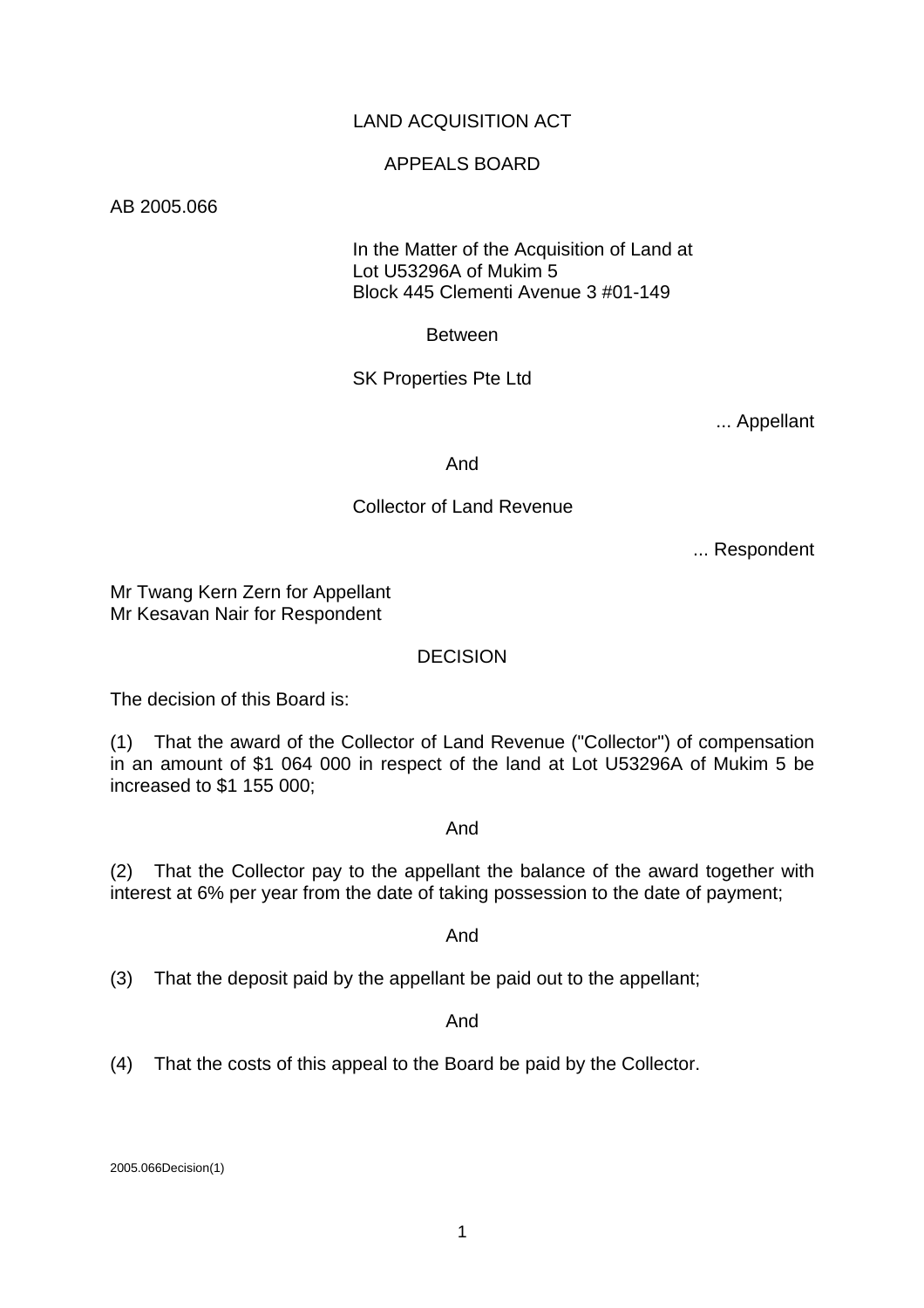## LAND ACQUISITION ACT

### APPEALS BOARD

AB 2005.066

 In the Matter of the Acquisition of Land at Lot U53296A of Mukim 5 Block 445 Clementi Avenue 3 #01-149

Between

SK Properties Pte Ltd

... Appellant

And

#### Collector of Land Revenue

... Respondent

Mr Twang Kern Zern for Appellant Mr Kesavan Nair for Respondent

#### DECISION

The decision of this Board is:

(1) That the award of the Collector of Land Revenue ("Collector") of compensation in an amount of \$1 064 000 in respect of the land at Lot U53296A of Mukim 5 be increased to \$1 155 000;

And

(2) That the Collector pay to the appellant the balance of the award together with interest at 6% per year from the date of taking possession to the date of payment;

And

(3) That the deposit paid by the appellant be paid out to the appellant;

And

(4) That the costs of this appeal to the Board be paid by the Collector.

2005.066Decision(1)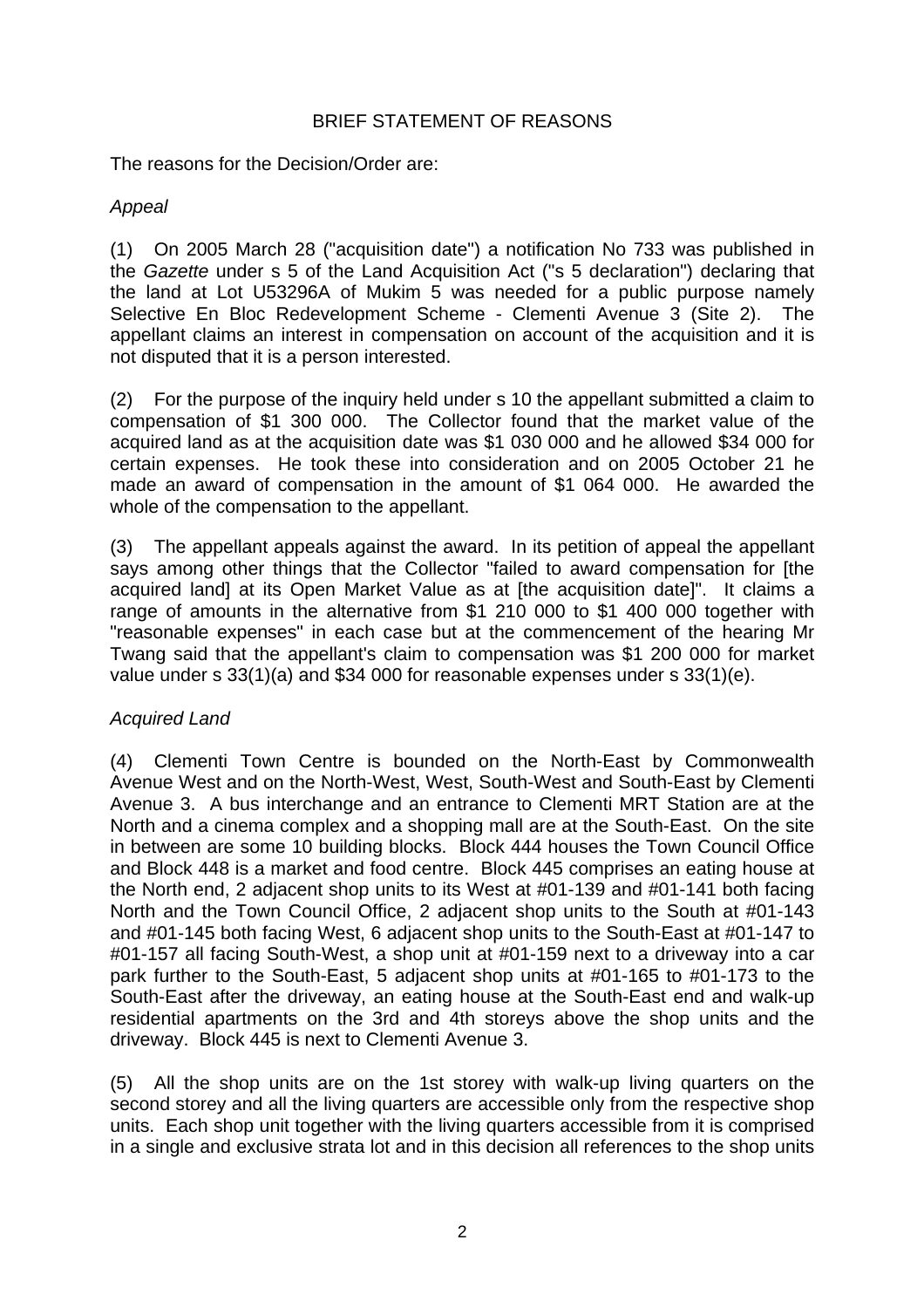## BRIEF STATEMENT OF REASONS

The reasons for the Decision/Order are:

# *Appeal*

(1) On 2005 March 28 ("acquisition date") a notification No 733 was published in the *Gazette* under s 5 of the Land Acquisition Act ("s 5 declaration") declaring that the land at Lot U53296A of Mukim 5 was needed for a public purpose namely Selective En Bloc Redevelopment Scheme - Clementi Avenue 3 (Site 2). The appellant claims an interest in compensation on account of the acquisition and it is not disputed that it is a person interested.

(2) For the purpose of the inquiry held under s 10 the appellant submitted a claim to compensation of \$1 300 000. The Collector found that the market value of the acquired land as at the acquisition date was \$1 030 000 and he allowed \$34 000 for certain expenses. He took these into consideration and on 2005 October 21 he made an award of compensation in the amount of \$1 064 000. He awarded the whole of the compensation to the appellant.

(3) The appellant appeals against the award. In its petition of appeal the appellant says among other things that the Collector "failed to award compensation for [the acquired land] at its Open Market Value as at [the acquisition date]". It claims a range of amounts in the alternative from \$1 210 000 to \$1 400 000 together with "reasonable expenses" in each case but at the commencement of the hearing Mr Twang said that the appellant's claim to compensation was \$1 200 000 for market value under s 33(1)(a) and \$34 000 for reasonable expenses under s 33(1)(e).

# *Acquired Land*

(4) Clementi Town Centre is bounded on the North-East by Commonwealth Avenue West and on the North-West, West, South-West and South-East by Clementi Avenue 3. A bus interchange and an entrance to Clementi MRT Station are at the North and a cinema complex and a shopping mall are at the South-East. On the site in between are some 10 building blocks. Block 444 houses the Town Council Office and Block 448 is a market and food centre. Block 445 comprises an eating house at the North end, 2 adjacent shop units to its West at #01-139 and #01-141 both facing North and the Town Council Office, 2 adjacent shop units to the South at #01-143 and #01-145 both facing West, 6 adjacent shop units to the South-East at #01-147 to #01-157 all facing South-West, a shop unit at #01-159 next to a driveway into a car park further to the South-East, 5 adjacent shop units at #01-165 to #01-173 to the South-East after the driveway, an eating house at the South-East end and walk-up residential apartments on the 3rd and 4th storeys above the shop units and the driveway. Block 445 is next to Clementi Avenue 3.

(5) All the shop units are on the 1st storey with walk-up living quarters on the second storey and all the living quarters are accessible only from the respective shop units. Each shop unit together with the living quarters accessible from it is comprised in a single and exclusive strata lot and in this decision all references to the shop units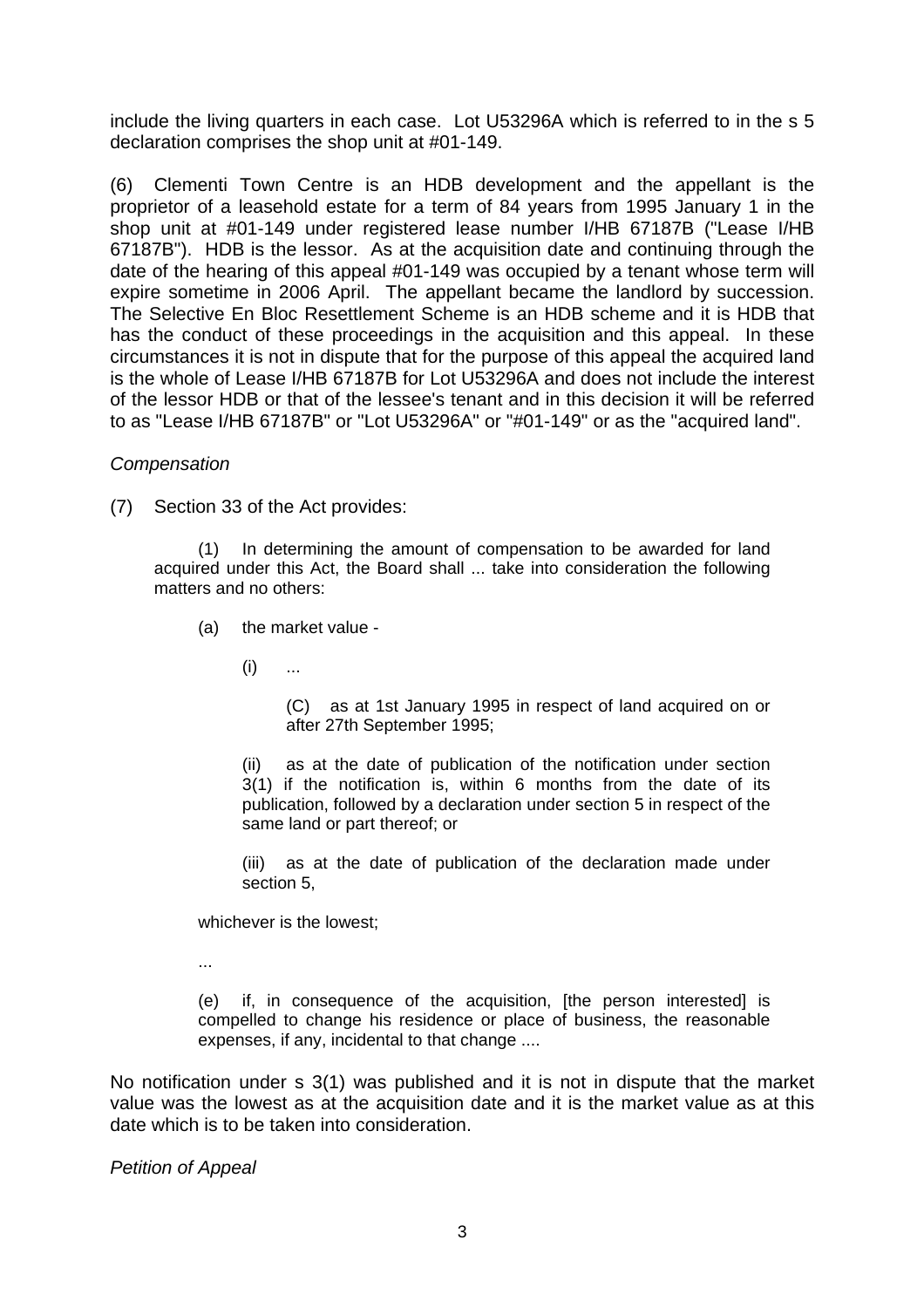include the living quarters in each case. Lot U53296A which is referred to in the s 5 declaration comprises the shop unit at #01-149.

(6) Clementi Town Centre is an HDB development and the appellant is the proprietor of a leasehold estate for a term of 84 years from 1995 January 1 in the shop unit at #01-149 under registered lease number I/HB 67187B ("Lease I/HB 67187B"). HDB is the lessor. As at the acquisition date and continuing through the date of the hearing of this appeal #01-149 was occupied by a tenant whose term will expire sometime in 2006 April. The appellant became the landlord by succession. The Selective En Bloc Resettlement Scheme is an HDB scheme and it is HDB that has the conduct of these proceedings in the acquisition and this appeal. In these circumstances it is not in dispute that for the purpose of this appeal the acquired land is the whole of Lease I/HB 67187B for Lot U53296A and does not include the interest of the lessor HDB or that of the lessee's tenant and in this decision it will be referred to as "Lease I/HB 67187B" or "Lot U53296A" or "#01-149" or as the "acquired land".

#### *Compensation*

(7) Section 33 of the Act provides:

(1) In determining the amount of compensation to be awarded for land acquired under this Act, the Board shall ... take into consideration the following matters and no others:

- (a) the market value
	- $(i)$  ...

(C) as at 1st January 1995 in respect of land acquired on or after 27th September 1995;

(ii) as at the date of publication of the notification under section 3(1) if the notification is, within 6 months from the date of its publication, followed by a declaration under section 5 in respect of the same land or part thereof; or

(iii) as at the date of publication of the declaration made under section 5,

whichever is the lowest;

...

(e) if, in consequence of the acquisition. Ithe person interestedl is compelled to change his residence or place of business, the reasonable expenses, if any, incidental to that change ....

No notification under s 3(1) was published and it is not in dispute that the market value was the lowest as at the acquisition date and it is the market value as at this date which is to be taken into consideration.

*Petition of Appeal*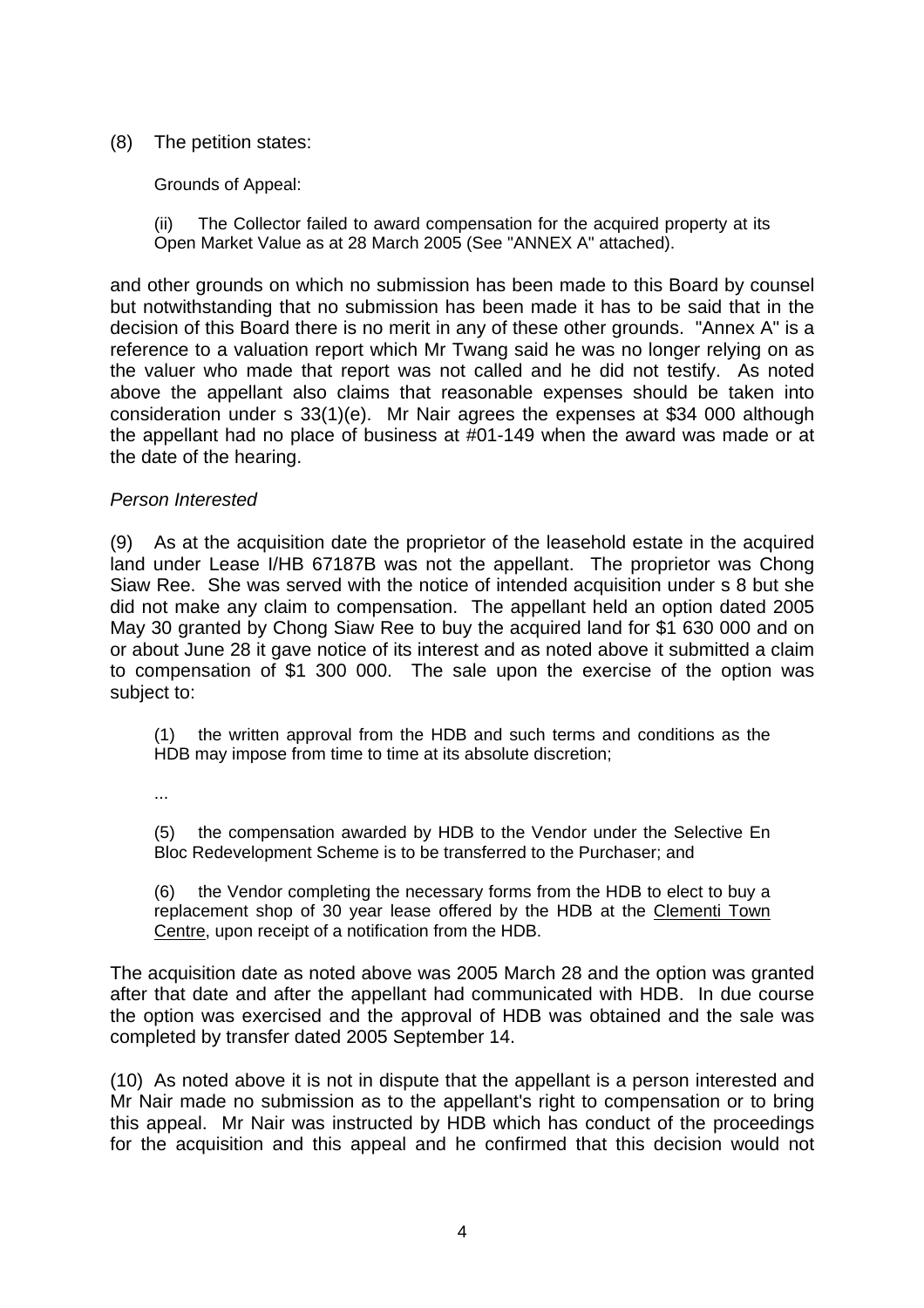## (8) The petition states:

Grounds of Appeal:

(ii) The Collector failed to award compensation for the acquired property at its Open Market Value as at 28 March 2005 (See "ANNEX A" attached).

and other grounds on which no submission has been made to this Board by counsel but notwithstanding that no submission has been made it has to be said that in the decision of this Board there is no merit in any of these other grounds. "Annex A" is a reference to a valuation report which Mr Twang said he was no longer relying on as the valuer who made that report was not called and he did not testify. As noted above the appellant also claims that reasonable expenses should be taken into consideration under s 33(1)(e). Mr Nair agrees the expenses at \$34 000 although the appellant had no place of business at #01-149 when the award was made or at the date of the hearing.

### *Person Interested*

(9) As at the acquisition date the proprietor of the leasehold estate in the acquired land under Lease I/HB 67187B was not the appellant. The proprietor was Chong Siaw Ree. She was served with the notice of intended acquisition under s 8 but she did not make any claim to compensation. The appellant held an option dated 2005 May 30 granted by Chong Siaw Ree to buy the acquired land for \$1 630 000 and on or about June 28 it gave notice of its interest and as noted above it submitted a claim to compensation of \$1 300 000. The sale upon the exercise of the option was subject to:

(1) the written approval from the HDB and such terms and conditions as the HDB may impose from time to time at its absolute discretion;

...

(5) the compensation awarded by HDB to the Vendor under the Selective En Bloc Redevelopment Scheme is to be transferred to the Purchaser; and

(6) the Vendor completing the necessary forms from the HDB to elect to buy a replacement shop of 30 year lease offered by the HDB at the Clementi Town Centre, upon receipt of a notification from the HDB.

The acquisition date as noted above was 2005 March 28 and the option was granted after that date and after the appellant had communicated with HDB. In due course the option was exercised and the approval of HDB was obtained and the sale was completed by transfer dated 2005 September 14.

(10) As noted above it is not in dispute that the appellant is a person interested and Mr Nair made no submission as to the appellant's right to compensation or to bring this appeal. Mr Nair was instructed by HDB which has conduct of the proceedings for the acquisition and this appeal and he confirmed that this decision would not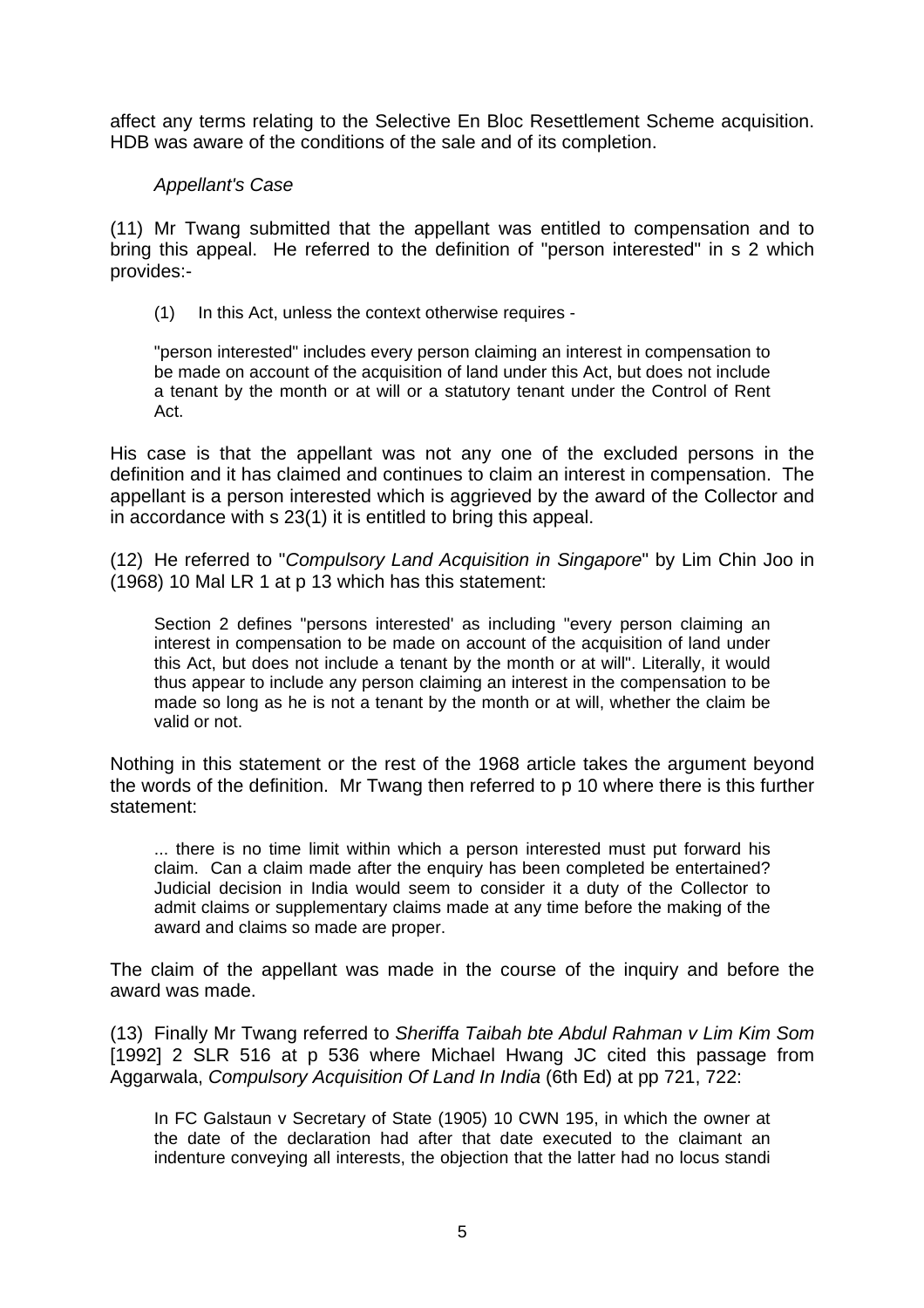affect any terms relating to the Selective En Bloc Resettlement Scheme acquisition. HDB was aware of the conditions of the sale and of its completion.

### *Appellant's Case*

(11) Mr Twang submitted that the appellant was entitled to compensation and to bring this appeal. He referred to the definition of "person interested" in s 2 which provides:-

(1) In this Act, unless the context otherwise requires -

"person interested" includes every person claiming an interest in compensation to be made on account of the acquisition of land under this Act, but does not include a tenant by the month or at will or a statutory tenant under the Control of Rent Act.

His case is that the appellant was not any one of the excluded persons in the definition and it has claimed and continues to claim an interest in compensation. The appellant is a person interested which is aggrieved by the award of the Collector and in accordance with s 23(1) it is entitled to bring this appeal.

(12) He referred to "*Compulsory Land Acquisition in Singapore*" by Lim Chin Joo in (1968) 10 Mal LR 1 at p 13 which has this statement:

Section 2 defines "persons interested' as including "every person claiming an interest in compensation to be made on account of the acquisition of land under this Act, but does not include a tenant by the month or at will". Literally, it would thus appear to include any person claiming an interest in the compensation to be made so long as he is not a tenant by the month or at will, whether the claim be valid or not.

Nothing in this statement or the rest of the 1968 article takes the argument beyond the words of the definition. Mr Twang then referred to p 10 where there is this further statement:

... there is no time limit within which a person interested must put forward his claim. Can a claim made after the enquiry has been completed be entertained? Judicial decision in India would seem to consider it a duty of the Collector to admit claims or supplementary claims made at any time before the making of the award and claims so made are proper.

The claim of the appellant was made in the course of the inquiry and before the award was made.

(13) Finally Mr Twang referred to *Sheriffa Taibah bte Abdul Rahman v Lim Kim Som* [1992] 2 SLR 516 at p 536 where Michael Hwang JC cited this passage from Aggarwala, *Compulsory Acquisition Of Land In India* (6th Ed) at pp 721, 722:

In FC Galstaun v Secretary of State (1905) 10 CWN 195, in which the owner at the date of the declaration had after that date executed to the claimant an indenture conveying all interests, the objection that the latter had no locus standi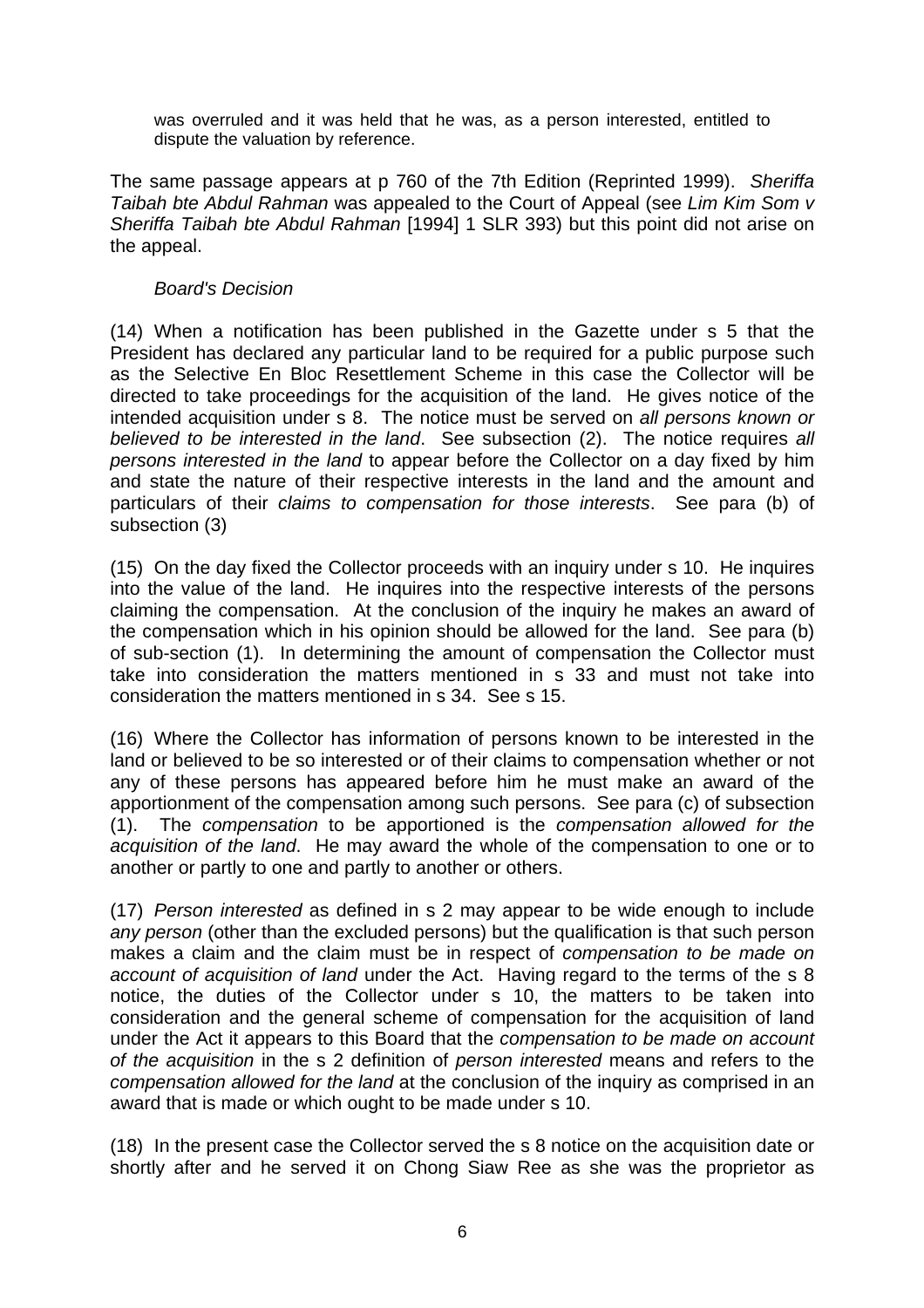was overruled and it was held that he was, as a person interested, entitled to dispute the valuation by reference.

The same passage appears at p 760 of the 7th Edition (Reprinted 1999). *Sheriffa Taibah bte Abdul Rahman* was appealed to the Court of Appeal (see *Lim Kim Som v Sheriffa Taibah bte Abdul Rahman* [1994] 1 SLR 393) but this point did not arise on the appeal.

## *Board's Decision*

(14) When a notification has been published in the Gazette under s 5 that the President has declared any particular land to be required for a public purpose such as the Selective En Bloc Resettlement Scheme in this case the Collector will be directed to take proceedings for the acquisition of the land. He gives notice of the intended acquisition under s 8. The notice must be served on *all persons known or believed to be interested in the land*. See subsection (2). The notice requires *all persons interested in the land* to appear before the Collector on a day fixed by him and state the nature of their respective interests in the land and the amount and particulars of their *claims to compensation for those interests*. See para (b) of subsection (3)

(15) On the day fixed the Collector proceeds with an inquiry under s 10. He inquires into the value of the land. He inquires into the respective interests of the persons claiming the compensation. At the conclusion of the inquiry he makes an award of the compensation which in his opinion should be allowed for the land. See para (b) of sub-section (1). In determining the amount of compensation the Collector must take into consideration the matters mentioned in s 33 and must not take into consideration the matters mentioned in s 34. See s 15.

(16) Where the Collector has information of persons known to be interested in the land or believed to be so interested or of their claims to compensation whether or not any of these persons has appeared before him he must make an award of the apportionment of the compensation among such persons. See para (c) of subsection (1). The *compensation* to be apportioned is the *compensation allowed for the acquisition of the land*. He may award the whole of the compensation to one or to another or partly to one and partly to another or others.

(17) *Person interested* as defined in s 2 may appear to be wide enough to include *any person* (other than the excluded persons) but the qualification is that such person makes a claim and the claim must be in respect of *compensation to be made on account of acquisition of land* under the Act. Having regard to the terms of the s 8 notice, the duties of the Collector under s 10, the matters to be taken into consideration and the general scheme of compensation for the acquisition of land under the Act it appears to this Board that the *compensation to be made on account of the acquisition* in the s 2 definition of *person interested* means and refers to the *compensation allowed for the land* at the conclusion of the inquiry as comprised in an award that is made or which ought to be made under s 10.

(18) In the present case the Collector served the s 8 notice on the acquisition date or shortly after and he served it on Chong Siaw Ree as she was the proprietor as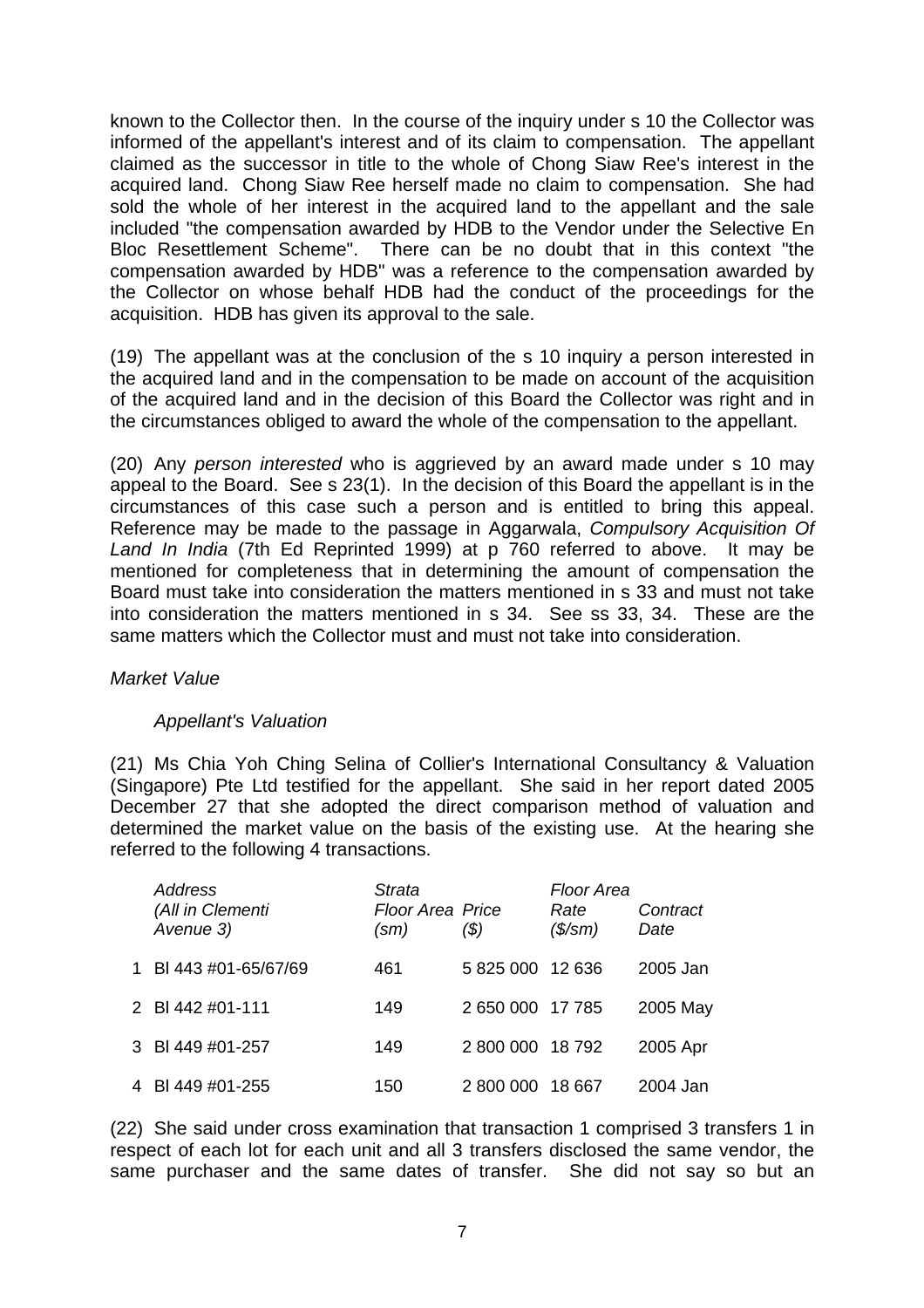known to the Collector then. In the course of the inquiry under s 10 the Collector was informed of the appellant's interest and of its claim to compensation. The appellant claimed as the successor in title to the whole of Chong Siaw Ree's interest in the acquired land. Chong Siaw Ree herself made no claim to compensation. She had sold the whole of her interest in the acquired land to the appellant and the sale included "the compensation awarded by HDB to the Vendor under the Selective En Bloc Resettlement Scheme". There can be no doubt that in this context "the compensation awarded by HDB" was a reference to the compensation awarded by the Collector on whose behalf HDB had the conduct of the proceedings for the acquisition. HDB has given its approval to the sale.

(19) The appellant was at the conclusion of the s 10 inquiry a person interested in the acquired land and in the compensation to be made on account of the acquisition of the acquired land and in the decision of this Board the Collector was right and in the circumstances obliged to award the whole of the compensation to the appellant.

(20) Any *person interested* who is aggrieved by an award made under s 10 may appeal to the Board. See s 23(1). In the decision of this Board the appellant is in the circumstances of this case such a person and is entitled to bring this appeal. Reference may be made to the passage in Aggarwala, *Compulsory Acquisition Of Land In India* (7th Ed Reprinted 1999) at p 760 referred to above. It may be mentioned for completeness that in determining the amount of compensation the Board must take into consideration the matters mentioned in s 33 and must not take into consideration the matters mentioned in s 34. See ss 33, 34. These are the same matters which the Collector must and must not take into consideration.

### *Market Value*

### *Appellant's Valuation*

(21) Ms Chia Yoh Ching Selina of Collier's International Consultancy & Valuation (Singapore) Pte Ltd testified for the appellant. She said in her report dated 2005 December 27 that she adopted the direct comparison method of valuation and determined the market value on the basis of the existing use. At the hearing she referred to the following 4 transactions.

| <b>Address</b><br>(All in Clementi<br>Avenue 3) | <b>Strata</b><br><b>Floor Area Price</b><br>$\text{(sm)}$ | (\$)             | <b>Floor Area</b><br>Rate<br>$($\mathsf{/}sm)$ | Contract<br>Date |
|-------------------------------------------------|-----------------------------------------------------------|------------------|------------------------------------------------|------------------|
| 1 BI 443 #01-65/67/69                           | 461                                                       | 5 825 000 12 636 |                                                | 2005 Jan         |
| 2 BI 442 #01-111                                | 149                                                       | 2 650 000 17 785 |                                                | 2005 May         |
| 3 BI 449 #01-257                                | 149                                                       | 2 800 000        | 18 792                                         | 2005 Apr         |
| 4 BI 449 #01-255                                | 150                                                       | 2 800 000        | 18 667                                         | 2004 Jan         |

(22) She said under cross examination that transaction 1 comprised 3 transfers 1 in respect of each lot for each unit and all 3 transfers disclosed the same vendor, the same purchaser and the same dates of transfer. She did not say so but an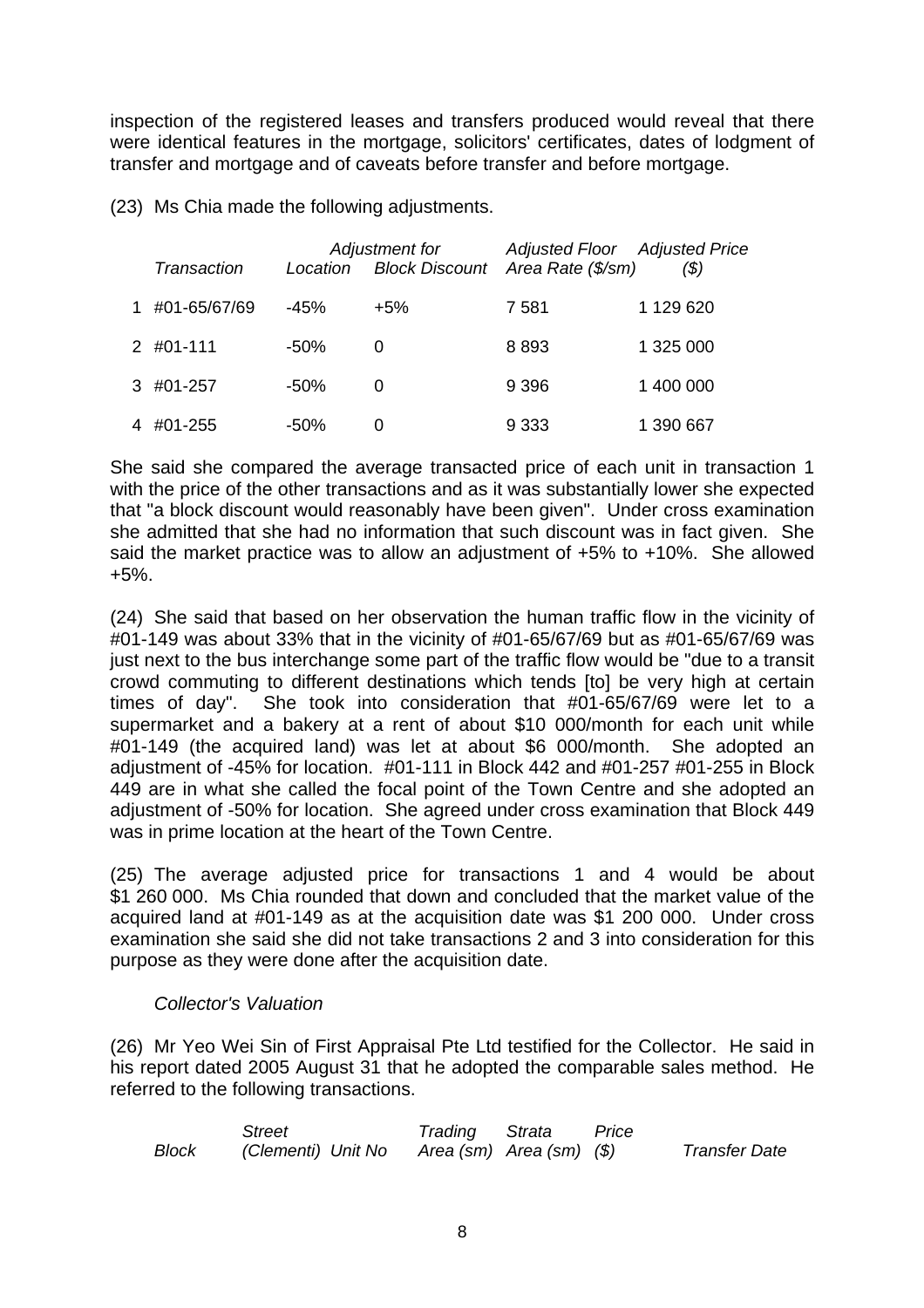inspection of the registered leases and transfers produced would reveal that there were identical features in the mortgage, solicitors' certificates, dates of lodgment of transfer and mortgage and of caveats before transfer and before mortgage.

(23) Ms Chia made the following adjustments.

| Transaction    | Location | Adjustment for | <b>Adjusted Floor</b> Adjusted Price<br>Block Discount Area Rate (\$/sm) | (\$)      |
|----------------|----------|----------------|--------------------------------------------------------------------------|-----------|
|                |          |                |                                                                          |           |
| 1 #01-65/67/69 | -45%     | $+5%$          | 7 581                                                                    | 1 129 620 |
| 2 #01-111      | -50%     | 0              | 8893                                                                     | 1 325 000 |
| 3 #01-257      | -50%     | 0              | 9 3 9 6                                                                  | 1 400 000 |
| 4 #01-255      | $-50%$   | 0              | 9 3 3 3                                                                  | 1 390 667 |

She said she compared the average transacted price of each unit in transaction 1 with the price of the other transactions and as it was substantially lower she expected that "a block discount would reasonably have been given". Under cross examination she admitted that she had no information that such discount was in fact given. She said the market practice was to allow an adjustment of +5% to +10%. She allowed +5%.

(24) She said that based on her observation the human traffic flow in the vicinity of #01-149 was about 33% that in the vicinity of #01-65/67/69 but as #01-65/67/69 was just next to the bus interchange some part of the traffic flow would be "due to a transit crowd commuting to different destinations which tends [to] be very high at certain times of day". She took into consideration that #01-65/67/69 were let to a supermarket and a bakery at a rent of about \$10 000/month for each unit while #01-149 (the acquired land) was let at about \$6 000/month. She adopted an adjustment of -45% for location. #01-111 in Block 442 and #01-257 #01-255 in Block 449 are in what she called the focal point of the Town Centre and she adopted an adjustment of -50% for location. She agreed under cross examination that Block 449 was in prime location at the heart of the Town Centre.

(25) The average adjusted price for transactions 1 and 4 would be about \$1 260 000. Ms Chia rounded that down and concluded that the market value of the acquired land at #01-149 as at the acquisition date was \$1 200 000. Under cross examination she said she did not take transactions 2 and 3 into consideration for this purpose as they were done after the acquisition date.

### *Collector's Valuation*

(26) Mr Yeo Wei Sin of First Appraisal Pte Ltd testified for the Collector. He said in his report dated 2005 August 31 that he adopted the comparable sales method. He referred to the following transactions.

|       | Street             | Trading Strata           | Price |                      |
|-------|--------------------|--------------------------|-------|----------------------|
| Block | (Clementi) Unit No | Area (sm) Area (sm) (\$) |       | <b>Transfer Date</b> |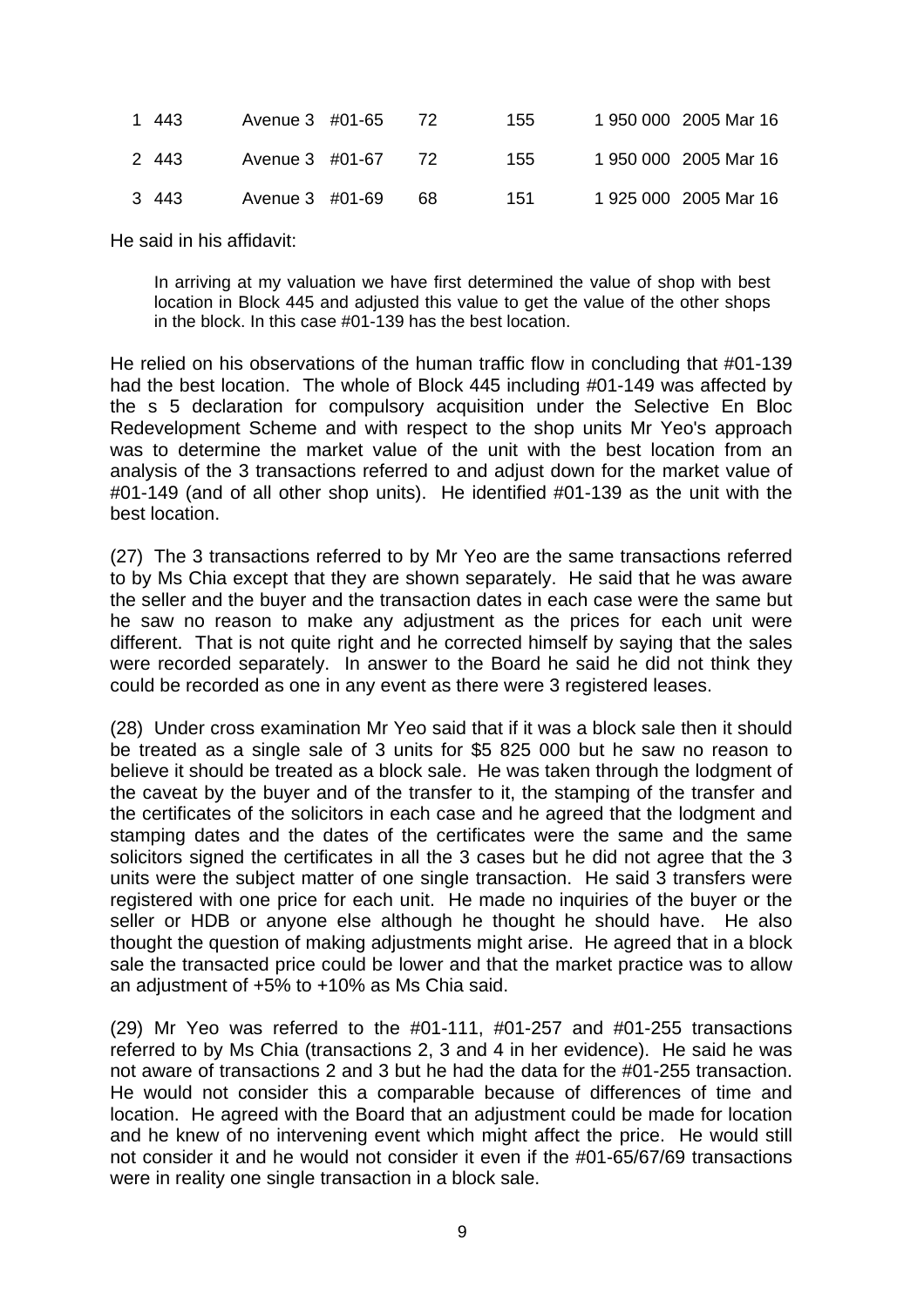| 1 443 | Avenue 3 #01-65 |                    | <sup>72</sup> | 155 | 1 950 000 2005 Mar 16 |
|-------|-----------------|--------------------|---------------|-----|-----------------------|
| 2 443 |                 | Avenue 3 #01-67 72 |               | 155 | 1 950 000 2005 Mar 16 |
| 3 443 | Avenue 3 #01-69 |                    | -68           | 151 | 1 925 000 2005 Mar 16 |

He said in his affidavit:

In arriving at my valuation we have first determined the value of shop with best location in Block 445 and adjusted this value to get the value of the other shops in the block. In this case #01-139 has the best location.

He relied on his observations of the human traffic flow in concluding that #01-139 had the best location. The whole of Block 445 including #01-149 was affected by the s 5 declaration for compulsory acquisition under the Selective En Bloc Redevelopment Scheme and with respect to the shop units Mr Yeo's approach was to determine the market value of the unit with the best location from an analysis of the 3 transactions referred to and adjust down for the market value of #01-149 (and of all other shop units). He identified #01-139 as the unit with the best location.

(27) The 3 transactions referred to by Mr Yeo are the same transactions referred to by Ms Chia except that they are shown separately. He said that he was aware the seller and the buyer and the transaction dates in each case were the same but he saw no reason to make any adjustment as the prices for each unit were different. That is not quite right and he corrected himself by saying that the sales were recorded separately. In answer to the Board he said he did not think they could be recorded as one in any event as there were 3 registered leases.

(28) Under cross examination Mr Yeo said that if it was a block sale then it should be treated as a single sale of 3 units for \$5 825 000 but he saw no reason to believe it should be treated as a block sale. He was taken through the lodgment of the caveat by the buyer and of the transfer to it, the stamping of the transfer and the certificates of the solicitors in each case and he agreed that the lodgment and stamping dates and the dates of the certificates were the same and the same solicitors signed the certificates in all the 3 cases but he did not agree that the 3 units were the subject matter of one single transaction. He said 3 transfers were registered with one price for each unit. He made no inquiries of the buyer or the seller or HDB or anyone else although he thought he should have. He also thought the question of making adjustments might arise. He agreed that in a block sale the transacted price could be lower and that the market practice was to allow an adjustment of +5% to +10% as Ms Chia said.

(29) Mr Yeo was referred to the #01-111, #01-257 and #01-255 transactions referred to by Ms Chia (transactions 2, 3 and 4 in her evidence). He said he was not aware of transactions 2 and 3 but he had the data for the #01-255 transaction. He would not consider this a comparable because of differences of time and location. He agreed with the Board that an adjustment could be made for location and he knew of no intervening event which might affect the price. He would still not consider it and he would not consider it even if the #01-65/67/69 transactions were in reality one single transaction in a block sale.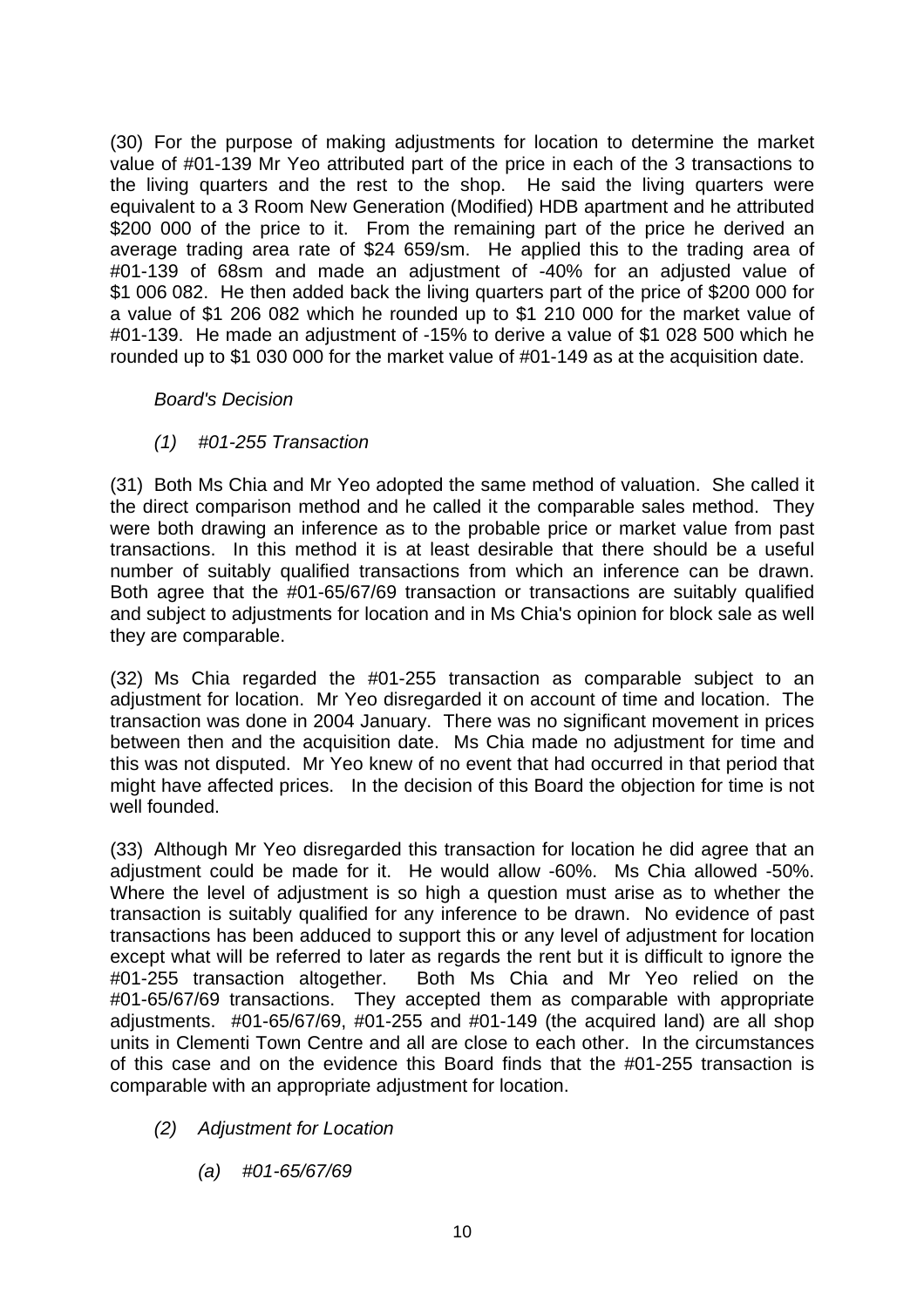(30) For the purpose of making adjustments for location to determine the market value of #01-139 Mr Yeo attributed part of the price in each of the 3 transactions to the living quarters and the rest to the shop. He said the living quarters were equivalent to a 3 Room New Generation (Modified) HDB apartment and he attributed \$200 000 of the price to it. From the remaining part of the price he derived an average trading area rate of \$24 659/sm. He applied this to the trading area of #01-139 of 68sm and made an adjustment of -40% for an adjusted value of \$1 006 082. He then added back the living quarters part of the price of \$200 000 for a value of \$1 206 082 which he rounded up to \$1 210 000 for the market value of #01-139. He made an adjustment of -15% to derive a value of \$1 028 500 which he rounded up to \$1 030 000 for the market value of #01-149 as at the acquisition date.

# *Board's Decision*

*(1) #01-255 Transaction* 

(31) Both Ms Chia and Mr Yeo adopted the same method of valuation. She called it the direct comparison method and he called it the comparable sales method. They were both drawing an inference as to the probable price or market value from past transactions. In this method it is at least desirable that there should be a useful number of suitably qualified transactions from which an inference can be drawn. Both agree that the #01-65/67/69 transaction or transactions are suitably qualified and subject to adjustments for location and in Ms Chia's opinion for block sale as well they are comparable.

(32) Ms Chia regarded the #01-255 transaction as comparable subject to an adjustment for location. Mr Yeo disregarded it on account of time and location. The transaction was done in 2004 January. There was no significant movement in prices between then and the acquisition date. Ms Chia made no adjustment for time and this was not disputed. Mr Yeo knew of no event that had occurred in that period that might have affected prices. In the decision of this Board the objection for time is not well founded.

(33) Although Mr Yeo disregarded this transaction for location he did agree that an adjustment could be made for it. He would allow -60%. Ms Chia allowed -50%. Where the level of adjustment is so high a question must arise as to whether the transaction is suitably qualified for any inference to be drawn. No evidence of past transactions has been adduced to support this or any level of adjustment for location except what will be referred to later as regards the rent but it is difficult to ignore the #01-255 transaction altogether. Both Ms Chia and Mr Yeo relied on the #01-65/67/69 transactions. They accepted them as comparable with appropriate adjustments. #01-65/67/69, #01-255 and #01-149 (the acquired land) are all shop units in Clementi Town Centre and all are close to each other. In the circumstances of this case and on the evidence this Board finds that the #01-255 transaction is comparable with an appropriate adjustment for location.

- *(2) Adjustment for Location* 
	- *(a) #01-65/67/69*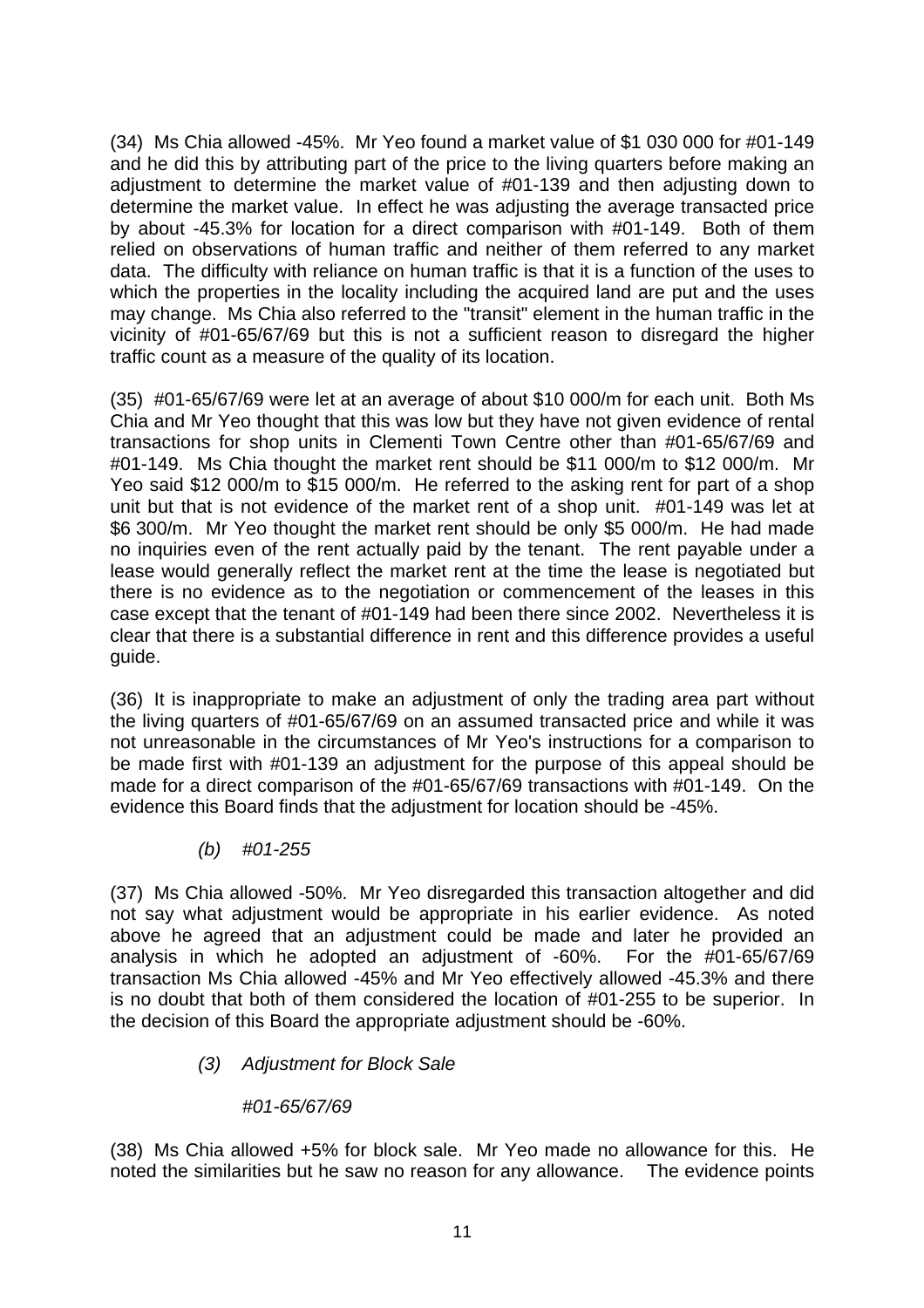(34) Ms Chia allowed -45%. Mr Yeo found a market value of \$1 030 000 for #01-149 and he did this by attributing part of the price to the living quarters before making an adjustment to determine the market value of #01-139 and then adjusting down to determine the market value. In effect he was adjusting the average transacted price by about -45.3% for location for a direct comparison with #01-149. Both of them relied on observations of human traffic and neither of them referred to any market data. The difficulty with reliance on human traffic is that it is a function of the uses to which the properties in the locality including the acquired land are put and the uses may change. Ms Chia also referred to the "transit" element in the human traffic in the vicinity of #01-65/67/69 but this is not a sufficient reason to disregard the higher traffic count as a measure of the quality of its location.

(35) #01-65/67/69 were let at an average of about \$10 000/m for each unit. Both Ms Chia and Mr Yeo thought that this was low but they have not given evidence of rental transactions for shop units in Clementi Town Centre other than #01-65/67/69 and #01-149. Ms Chia thought the market rent should be \$11 000/m to \$12 000/m. Mr Yeo said \$12 000/m to \$15 000/m. He referred to the asking rent for part of a shop unit but that is not evidence of the market rent of a shop unit. #01-149 was let at \$6 300/m. Mr Yeo thought the market rent should be only \$5 000/m. He had made no inquiries even of the rent actually paid by the tenant. The rent payable under a lease would generally reflect the market rent at the time the lease is negotiated but there is no evidence as to the negotiation or commencement of the leases in this case except that the tenant of #01-149 had been there since 2002. Nevertheless it is clear that there is a substantial difference in rent and this difference provides a useful guide.

(36) It is inappropriate to make an adjustment of only the trading area part without the living quarters of #01-65/67/69 on an assumed transacted price and while it was not unreasonable in the circumstances of Mr Yeo's instructions for a comparison to be made first with #01-139 an adjustment for the purpose of this appeal should be made for a direct comparison of the #01-65/67/69 transactions with #01-149. On the evidence this Board finds that the adjustment for location should be -45%.

 *(b) #01-255* 

(37) Ms Chia allowed -50%. Mr Yeo disregarded this transaction altogether and did not say what adjustment would be appropriate in his earlier evidence. As noted above he agreed that an adjustment could be made and later he provided an analysis in which he adopted an adjustment of -60%. For the #01-65/67/69 transaction Ms Chia allowed -45% and Mr Yeo effectively allowed -45.3% and there is no doubt that both of them considered the location of #01-255 to be superior. In the decision of this Board the appropriate adjustment should be -60%.

*(3) Adjustment for Block Sale* 

# *#01-65/67/69*

(38) Ms Chia allowed +5% for block sale. Mr Yeo made no allowance for this. He noted the similarities but he saw no reason for any allowance. The evidence points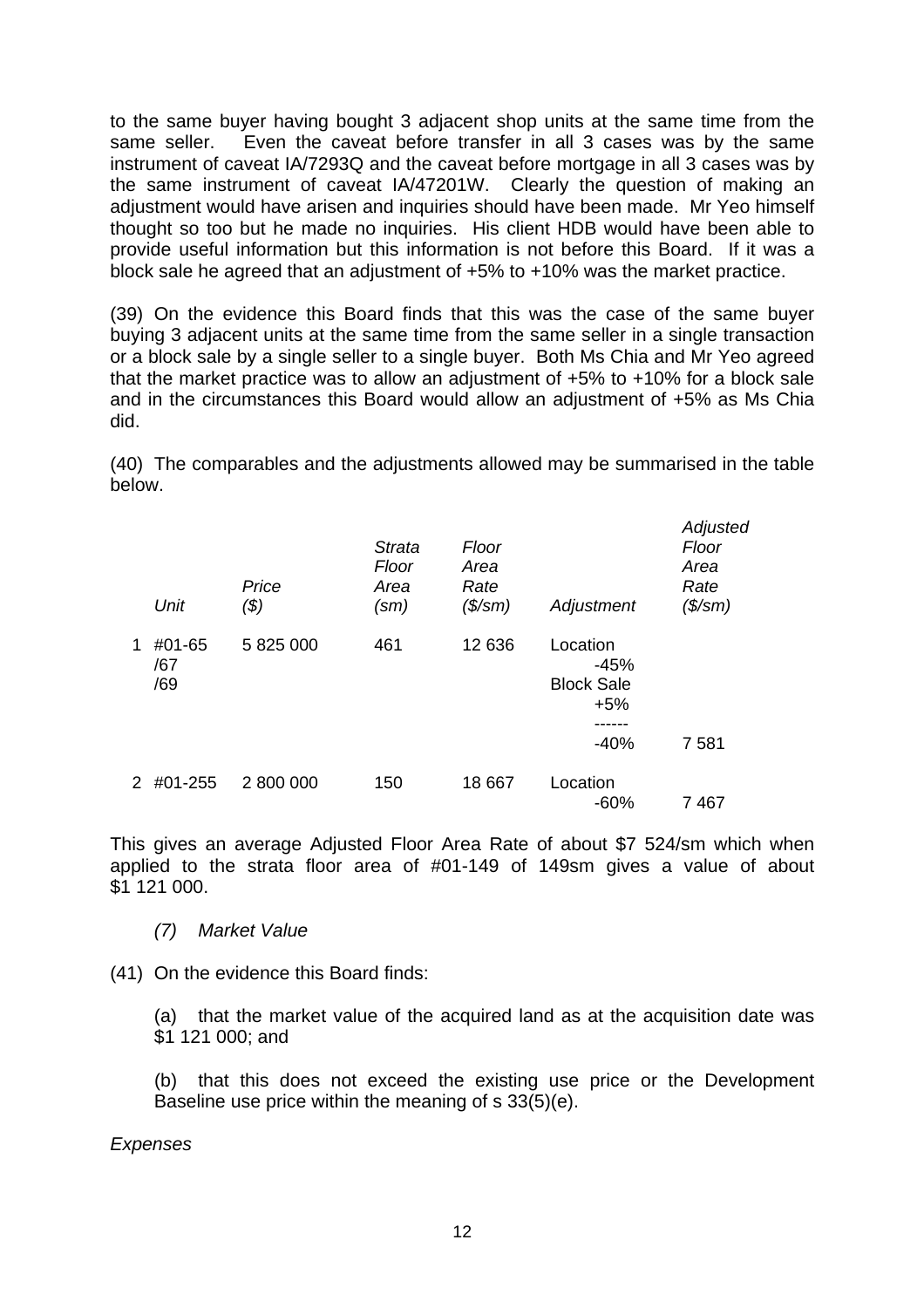to the same buyer having bought 3 adjacent shop units at the same time from the same seller. Even the caveat before transfer in all 3 cases was by the same instrument of caveat IA/7293Q and the caveat before mortgage in all 3 cases was by the same instrument of caveat IA/47201W. Clearly the question of making an adjustment would have arisen and inquiries should have been made. Mr Yeo himself thought so too but he made no inquiries. His client HDB would have been able to provide useful information but this information is not before this Board. If it was a block sale he agreed that an adjustment of +5% to +10% was the market practice.

(39) On the evidence this Board finds that this was the case of the same buyer buying 3 adjacent units at the same time from the same seller in a single transaction or a block sale by a single seller to a single buyer. Both Ms Chia and Mr Yeo agreed that the market practice was to allow an adjustment of +5% to +10% for a block sale and in the circumstances this Board would allow an adjustment of +5% as Ms Chia did.

(40) The comparables and the adjustments allowed may be summarised in the table below.

|               | Unit                 | Price<br>(\$) | <b>Strata</b><br>Floor<br>Area<br>$\text{(sm)}$ | Floor<br>Area<br>Rate<br>$($\mathsf{/}sm)$ | Adjustment                                                 | Adjusted<br>Floor<br>Area<br>Rate<br>$($\mathsf{/}sm)$ |
|---------------|----------------------|---------------|-------------------------------------------------|--------------------------------------------|------------------------------------------------------------|--------------------------------------------------------|
| 1             | #01-65<br>/67<br>/69 | 5 825 000     | 461                                             | 12 636                                     | Location<br>$-45%$<br><b>Block Sale</b><br>$+5%$<br>$-40%$ | 7 5 8 1                                                |
| $\mathcal{P}$ | #01-255              | 2 800 000     | 150                                             | 18 667                                     | Location<br>$-60%$                                         | 7 467                                                  |

This gives an average Adjusted Floor Area Rate of about \$7 524/sm which when applied to the strata floor area of #01-149 of 149sm gives a value of about \$1 121 000.

 *(7) Market Value* 

(41) On the evidence this Board finds:

(a) that the market value of the acquired land as at the acquisition date was \$1 121 000; and

(b) that this does not exceed the existing use price or the Development Baseline use price within the meaning of s 33(5)(e).

*Expenses*